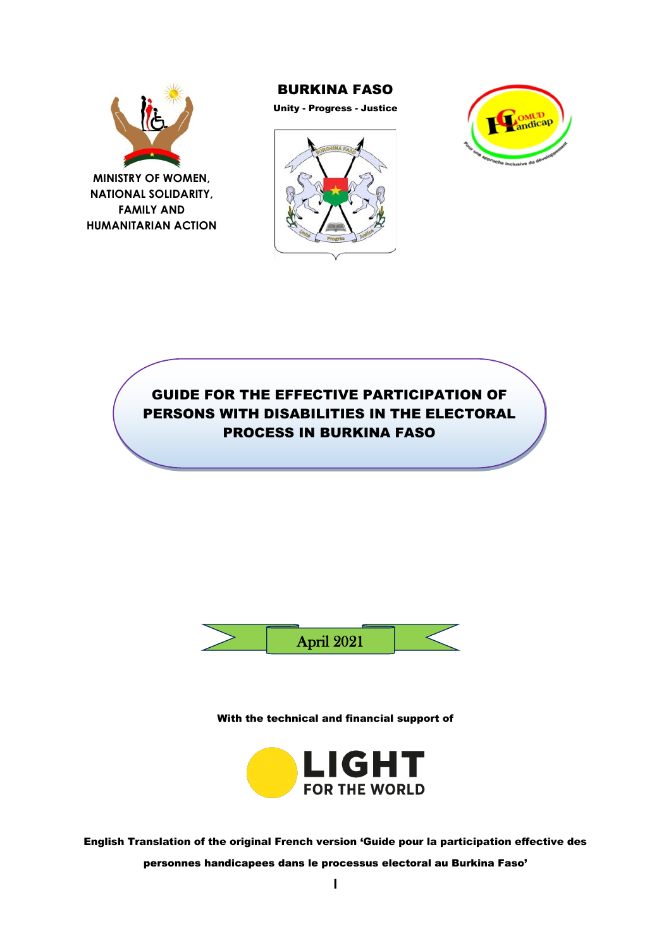

**FAMILY AND HUMANITARIAN ACTION**

#### BURKINA FASO

Unity - Progress - Justice





GUIDE FOR THE EFFECTIVE PARTICIPATION OF PERSONS WITH DISABILITIES IN THE ELECTORAL PROCESS IN BURKINA FASO



With the technical and financial support of



English Translation of the original French version 'Guide pour la participation effective des personnes handicapees dans le processus electoral au Burkina Faso'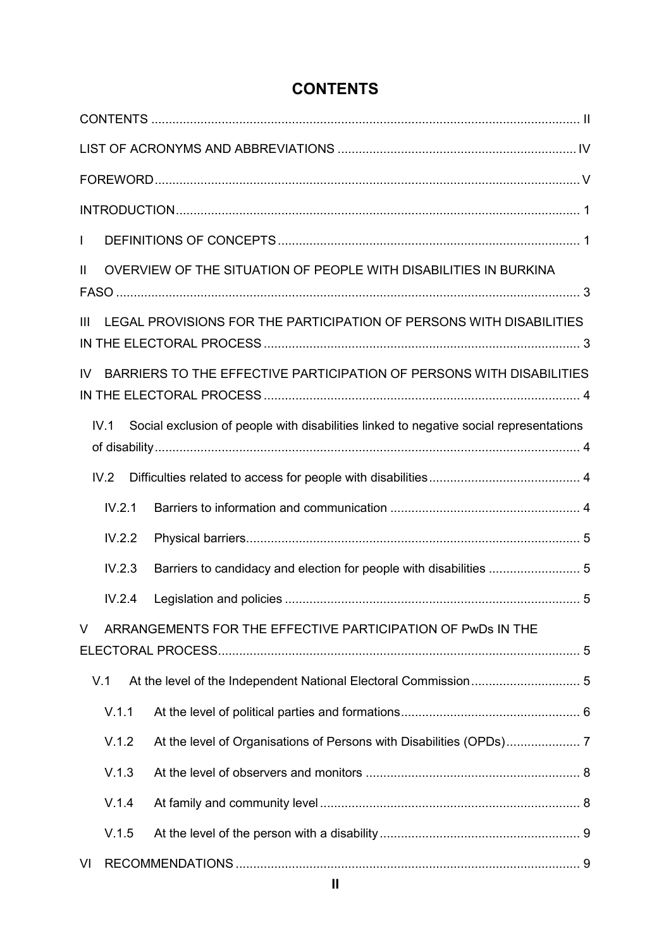<span id="page-1-0"></span>

| <b>CONTENTS</b> |
|-----------------|
|-----------------|

| $\mathbf{I}$                                                                |        |                                                                                        |  |  |  |
|-----------------------------------------------------------------------------|--------|----------------------------------------------------------------------------------------|--|--|--|
| $\mathbf{H}$                                                                |        | OVERVIEW OF THE SITUATION OF PEOPLE WITH DISABILITIES IN BURKINA                       |  |  |  |
| $\mathbf{III}$                                                              |        | LEGAL PROVISIONS FOR THE PARTICIPATION OF PERSONS WITH DISABILITIES                    |  |  |  |
| BARRIERS TO THE EFFECTIVE PARTICIPATION OF PERSONS WITH DISABILITIES<br>IV. |        |                                                                                        |  |  |  |
|                                                                             | IV.1   | Social exclusion of people with disabilities linked to negative social representations |  |  |  |
|                                                                             | IV.2   |                                                                                        |  |  |  |
|                                                                             | IV.2.1 |                                                                                        |  |  |  |
|                                                                             | IV.2.2 |                                                                                        |  |  |  |
|                                                                             | IV.2.3 |                                                                                        |  |  |  |
|                                                                             | IV.2.4 |                                                                                        |  |  |  |
| ARRANGEMENTS FOR THE EFFECTIVE PARTICIPATION OF PWDs IN THE<br>V            |        |                                                                                        |  |  |  |
|                                                                             | V.1    |                                                                                        |  |  |  |
|                                                                             | V.1.1  |                                                                                        |  |  |  |
|                                                                             | V.1.2  |                                                                                        |  |  |  |
|                                                                             | V.1.3  |                                                                                        |  |  |  |
|                                                                             | V.1.4  |                                                                                        |  |  |  |
|                                                                             | V.1.5  |                                                                                        |  |  |  |
| VI                                                                          |        |                                                                                        |  |  |  |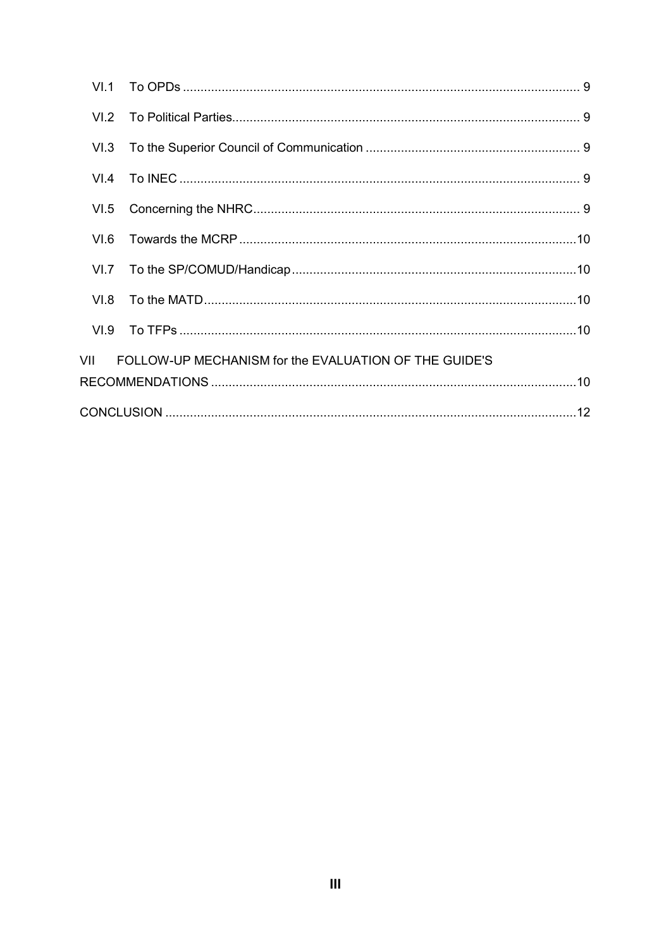| VI.1 |                                                       |  |  |  |  |
|------|-------------------------------------------------------|--|--|--|--|
| VI.2 |                                                       |  |  |  |  |
| VI.3 |                                                       |  |  |  |  |
| VI.4 |                                                       |  |  |  |  |
| VI.5 |                                                       |  |  |  |  |
| VL6. |                                                       |  |  |  |  |
| VI.7 |                                                       |  |  |  |  |
| VI.8 |                                                       |  |  |  |  |
|      |                                                       |  |  |  |  |
| VII  | FOLLOW-UP MECHANISM for the EVALUATION OF THE GUIDE'S |  |  |  |  |
|      |                                                       |  |  |  |  |
|      |                                                       |  |  |  |  |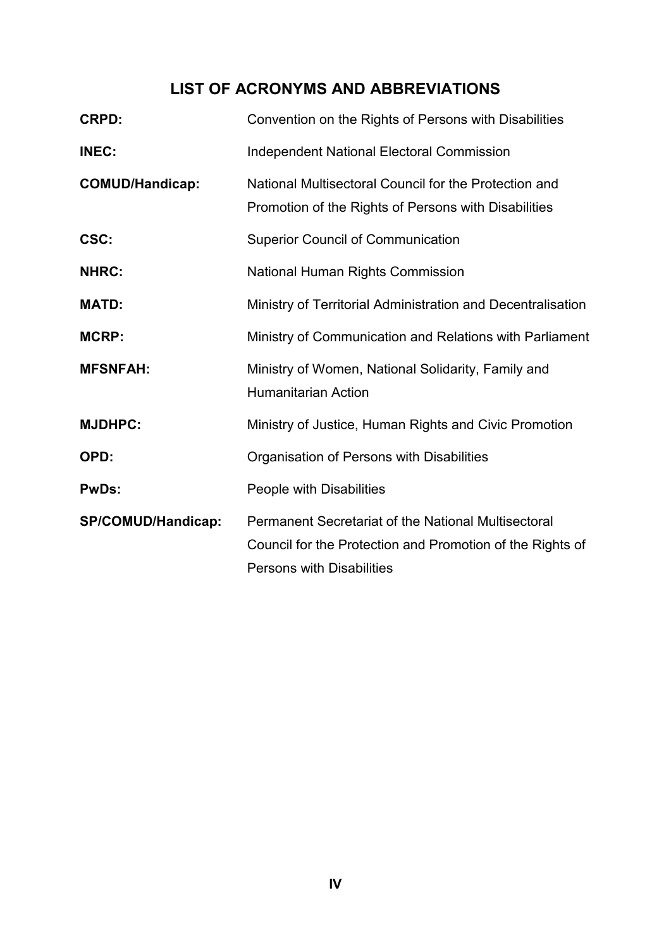# **LIST OF ACRONYMS AND ABBREVIATIONS**

<span id="page-3-0"></span>

| <b>CRPD:</b>           | Convention on the Rights of Persons with Disabilities                                                                                                       |
|------------------------|-------------------------------------------------------------------------------------------------------------------------------------------------------------|
| <b>INEC:</b>           | <b>Independent National Electoral Commission</b>                                                                                                            |
| <b>COMUD/Handicap:</b> | National Multisectoral Council for the Protection and<br>Promotion of the Rights of Persons with Disabilities                                               |
| CSC:                   | <b>Superior Council of Communication</b>                                                                                                                    |
| <b>NHRC:</b>           | National Human Rights Commission                                                                                                                            |
| <b>MATD:</b>           | Ministry of Territorial Administration and Decentralisation                                                                                                 |
| <b>MCRP:</b>           | Ministry of Communication and Relations with Parliament                                                                                                     |
| <b>MFSNFAH:</b>        | Ministry of Women, National Solidarity, Family and<br><b>Humanitarian Action</b>                                                                            |
| <b>MJDHPC:</b>         | Ministry of Justice, Human Rights and Civic Promotion                                                                                                       |
| OPD:                   | Organisation of Persons with Disabilities                                                                                                                   |
| <b>PwDs:</b>           | People with Disabilities                                                                                                                                    |
| SP/COMUD/Handicap:     | <b>Permanent Secretariat of the National Multisectoral</b><br>Council for the Protection and Promotion of the Rights of<br><b>Persons with Disabilities</b> |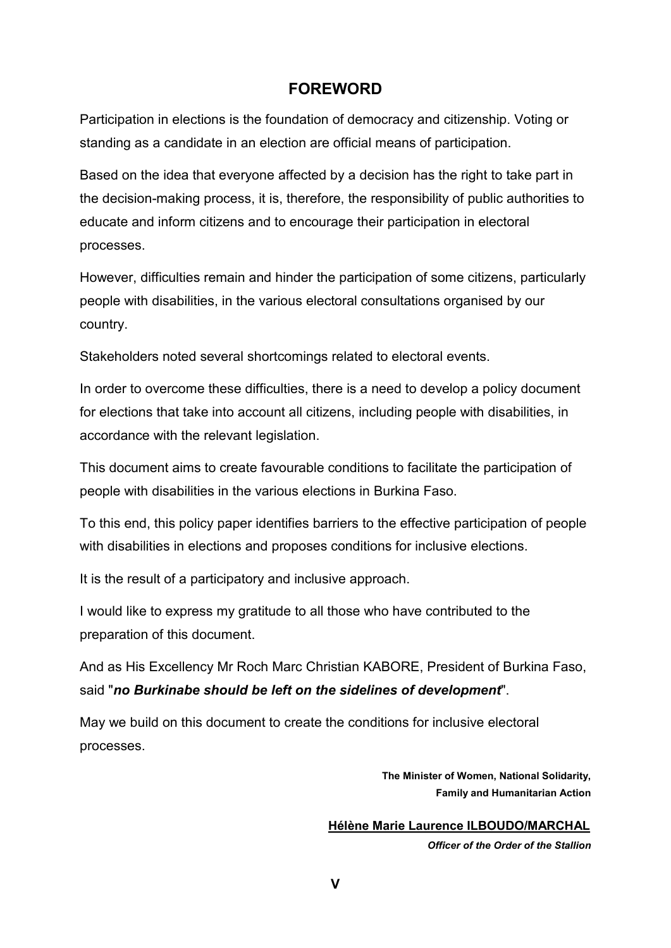## **FOREWORD**

<span id="page-4-0"></span>Participation in elections is the foundation of democracy and citizenship. Voting or standing as a candidate in an election are official means of participation.

Based on the idea that everyone affected by a decision has the right to take part in the decision-making process, it is, therefore, the responsibility of public authorities to educate and inform citizens and to encourage their participation in electoral processes.

However, difficulties remain and hinder the participation of some citizens, particularly people with disabilities, in the various electoral consultations organised by our country.

Stakeholders noted several shortcomings related to electoral events.

In order to overcome these difficulties, there is a need to develop a policy document for elections that take into account all citizens, including people with disabilities, in accordance with the relevant legislation.

This document aims to create favourable conditions to facilitate the participation of people with disabilities in the various elections in Burkina Faso.

To this end, this policy paper identifies barriers to the effective participation of people with disabilities in elections and proposes conditions for inclusive elections.

It is the result of a participatory and inclusive approach.

I would like to express my gratitude to all those who have contributed to the preparation of this document.

And as His Excellency Mr Roch Marc Christian KABORE, President of Burkina Faso, said "*no Burkinabe should be left on the sidelines of development*".

May we build on this document to create the conditions for inclusive electoral processes.

> **The Minister of Women, National Solidarity, Family and Humanitarian Action**

**Hélène Marie Laurence ILBOUDO/MARCHAL** 

*Officer of the Order of the Stallion*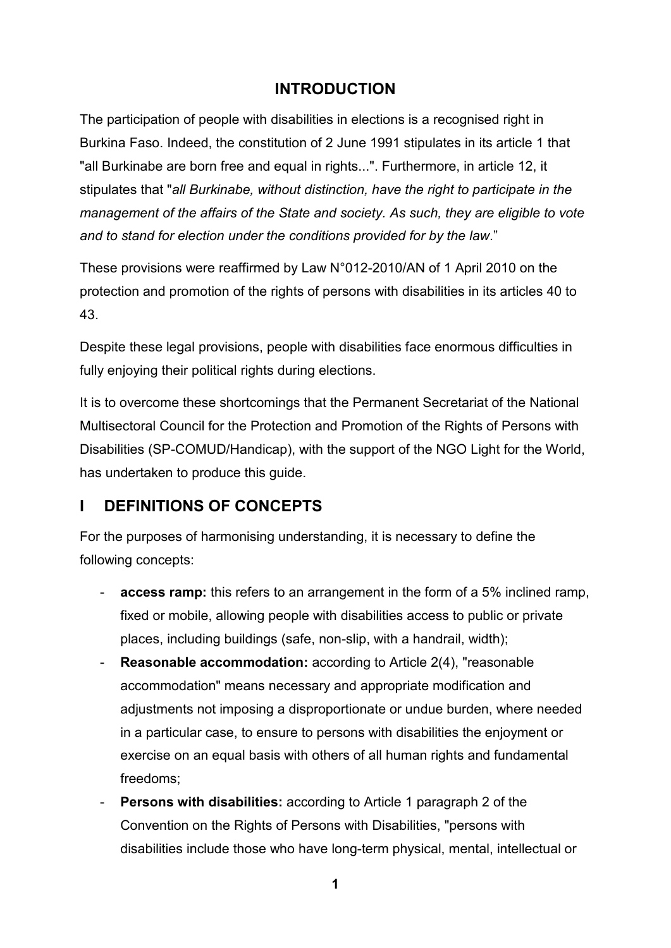## **INTRODUCTION**

<span id="page-5-0"></span>The participation of people with disabilities in elections is a recognised right in Burkina Faso. Indeed, the constitution of 2 June 1991 stipulates in its article 1 that "all Burkinabe are born free and equal in rights...". Furthermore, in article 12, it stipulates that "*all Burkinabe, without distinction, have the right to participate in the management of the affairs of the State and society. As such, they are eligible to vote and to stand for election under the conditions provided for by the law*."

These provisions were reaffirmed by Law N°012-2010/AN of 1 April 2010 on the protection and promotion of the rights of persons with disabilities in its articles 40 to 43.

Despite these legal provisions, people with disabilities face enormous difficulties in fully enjoying their political rights during elections.

It is to overcome these shortcomings that the Permanent Secretariat of the National Multisectoral Council for the Protection and Promotion of the Rights of Persons with Disabilities (SP-COMUD/Handicap), with the support of the NGO Light for the World, has undertaken to produce this guide.

## <span id="page-5-1"></span>**I DEFINITIONS OF CONCEPTS**

For the purposes of harmonising understanding, it is necessary to define the following concepts:

- access ramp: this refers to an arrangement in the form of a 5% inclined ramp, fixed or mobile, allowing people with disabilities access to public or private places, including buildings (safe, non-slip, with a handrail, width);
- **Reasonable accommodation:** according to Article 2(4), "reasonable accommodation" means necessary and appropriate modification and adjustments not imposing a disproportionate or undue burden, where needed in a particular case, to ensure to persons with disabilities the enjoyment or exercise on an equal basis with others of all human rights and fundamental freedoms;
- **Persons with disabilities:** according to Article 1 paragraph 2 of the Convention on the Rights of Persons with Disabilities, "persons with disabilities include those who have long-term physical, mental, intellectual or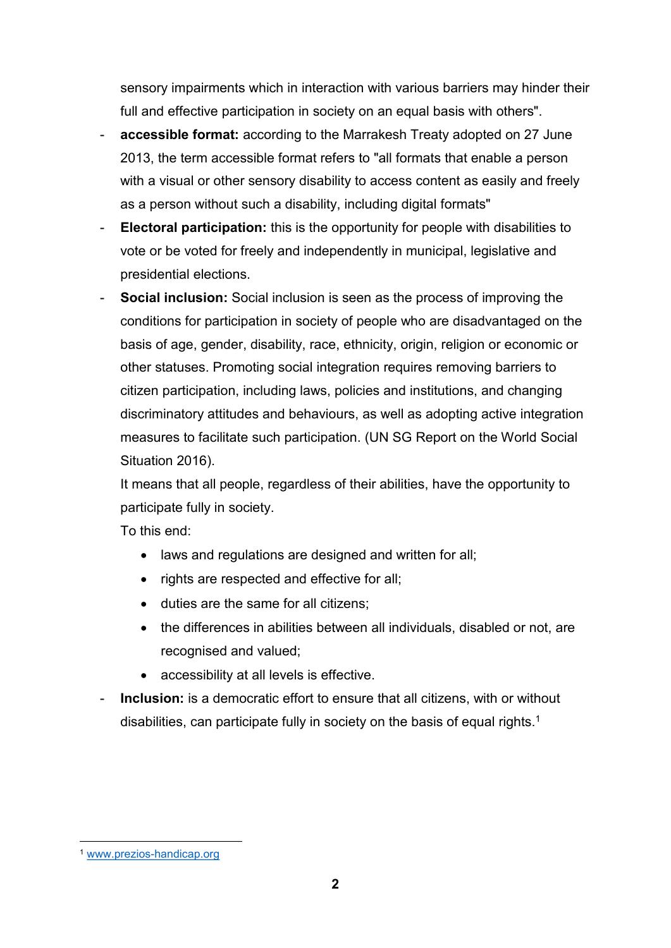sensory impairments which in interaction with various barriers may hinder their full and effective participation in society on an equal basis with others".

- **accessible format:** according to the Marrakesh Treaty adopted on 27 June 2013, the term accessible format refers to "all formats that enable a person with a visual or other sensory disability to access content as easily and freely as a person without such a disability, including digital formats"
- **Electoral participation:** this is the opportunity for people with disabilities to vote or be voted for freely and independently in municipal, legislative and presidential elections.
- **Social inclusion:** Social inclusion is seen as the process of improving the conditions for participation in society of people who are disadvantaged on the basis of age, gender, disability, race, ethnicity, origin, religion or economic or other statuses. Promoting social integration requires removing barriers to citizen participation, including laws, policies and institutions, and changing discriminatory attitudes and behaviours, as well as adopting active integration measures to facilitate such participation. (UN SG Report on the World Social Situation 2016).

It means that all people, regardless of their abilities, have the opportunity to participate fully in society.

To this end:

- laws and regulations are designed and written for all;
- rights are respected and effective for all;
- duties are the same for all citizens;
- the differences in abilities between all individuals, disabled or not, are recognised and valued;
- accessibility at all levels is effective.

<span id="page-6-1"></span> $\overline{a}$ 

- **Inclusion:** is a democratic effort to ensure that all citizens, with or without disabilities, can participate fully in society on the basis of equal rights.<sup>[1](#page-6-0)</sup>

<span id="page-6-0"></span>[<sup>1</sup>](#page-6-1) [www.prezios-handicap.org](http://www.prezios-handicap.org/)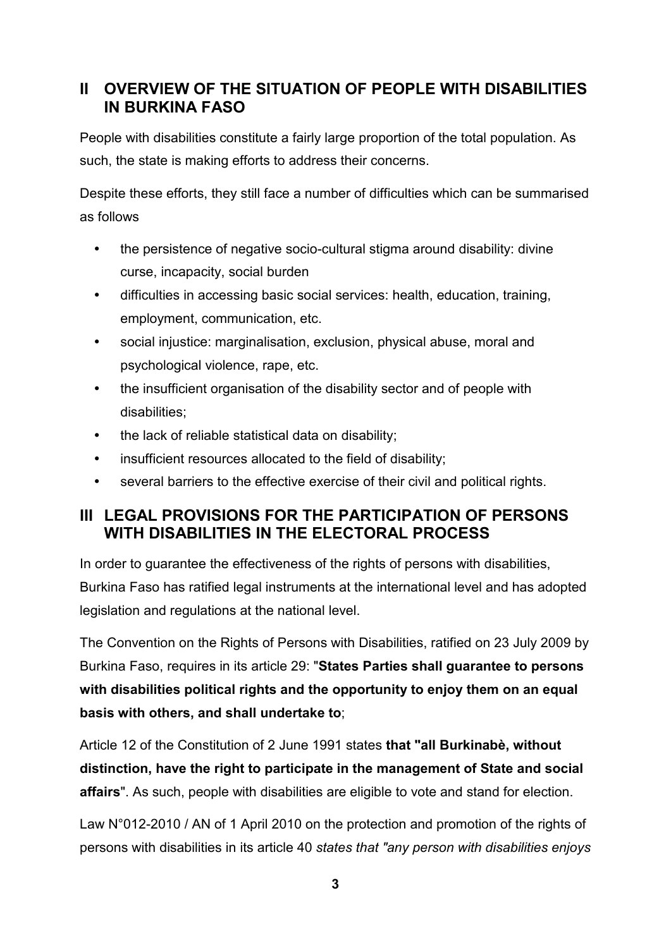## <span id="page-7-0"></span>**II OVERVIEW OF THE SITUATION OF PEOPLE WITH DISABILITIES IN BURKINA FASO**

People with disabilities constitute a fairly large proportion of the total population. As such, the state is making efforts to address their concerns.

Despite these efforts, they still face a number of difficulties which can be summarised as follows

- the persistence of negative socio-cultural stigma around disability: divine curse, incapacity, social burden
- difficulties in accessing basic social services: health, education, training, employment, communication, etc.
- social injustice: marginalisation, exclusion, physical abuse, moral and psychological violence, rape, etc.
- the insufficient organisation of the disability sector and of people with disabilities;
- the lack of reliable statistical data on disability;
- insufficient resources allocated to the field of disability;
- several barriers to the effective exercise of their civil and political rights.

## <span id="page-7-1"></span>**III LEGAL PROVISIONS FOR THE PARTICIPATION OF PERSONS WITH DISABILITIES IN THE ELECTORAL PROCESS**

In order to guarantee the effectiveness of the rights of persons with disabilities, Burkina Faso has ratified legal instruments at the international level and has adopted legislation and regulations at the national level.

The Convention on the Rights of Persons with Disabilities, ratified on 23 July 2009 by Burkina Faso, requires in its article 29: "**States Parties shall guarantee to persons with disabilities political rights and the opportunity to enjoy them on an equal basis with others, and shall undertake to**;

Article 12 of the Constitution of 2 June 1991 states **that "all Burkinabè, without distinction, have the right to participate in the management of State and social affairs**". As such, people with disabilities are eligible to vote and stand for election.

Law N°012-2010 / AN of 1 April 2010 on the protection and promotion of the rights of persons with disabilities in its article 40 *states that "any person with disabilities enjoys*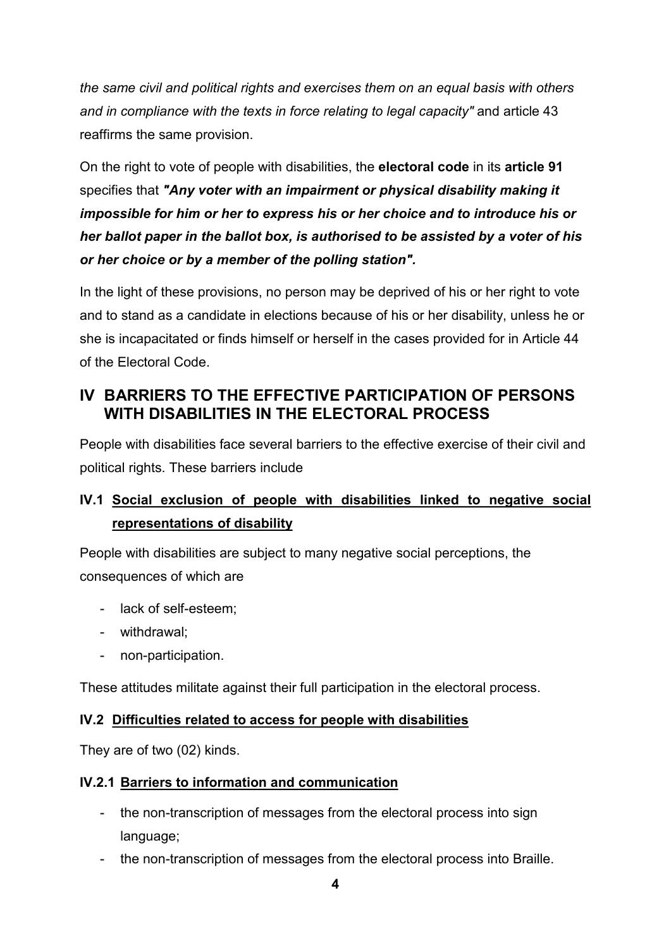*the same civil and political rights and exercises them on an equal basis with others and in compliance with the texts in force relating to legal capacity"* and article 43 reaffirms the same provision.

On the right to vote of people with disabilities, the **electoral code** in its **article 91**  specifies that *"Any voter with an impairment or physical disability making it impossible for him or her to express his or her choice and to introduce his or her ballot paper in the ballot box, is authorised to be assisted by a voter of his or her choice or by a member of the polling station".*

In the light of these provisions, no person may be deprived of his or her right to vote and to stand as a candidate in elections because of his or her disability, unless he or she is incapacitated or finds himself or herself in the cases provided for in Article 44 of the Electoral Code.

## <span id="page-8-0"></span>**IV BARRIERS TO THE EFFECTIVE PARTICIPATION OF PERSONS WITH DISABILITIES IN THE ELECTORAL PROCESS**

People with disabilities face several barriers to the effective exercise of their civil and political rights. These barriers include

## <span id="page-8-1"></span>**IV.1 Social exclusion of people with disabilities linked to negative social representations of disability**

People with disabilities are subject to many negative social perceptions, the consequences of which are

- lack of self-esteem;
- withdrawal;
- non-participation.

These attitudes militate against their full participation in the electoral process.

#### <span id="page-8-2"></span>**IV.2 Difficulties related to access for people with disabilities**

They are of two (02) kinds.

#### <span id="page-8-3"></span>**IV.2.1 Barriers to information and communication**

- the non-transcription of messages from the electoral process into sign language;
- the non-transcription of messages from the electoral process into Braille.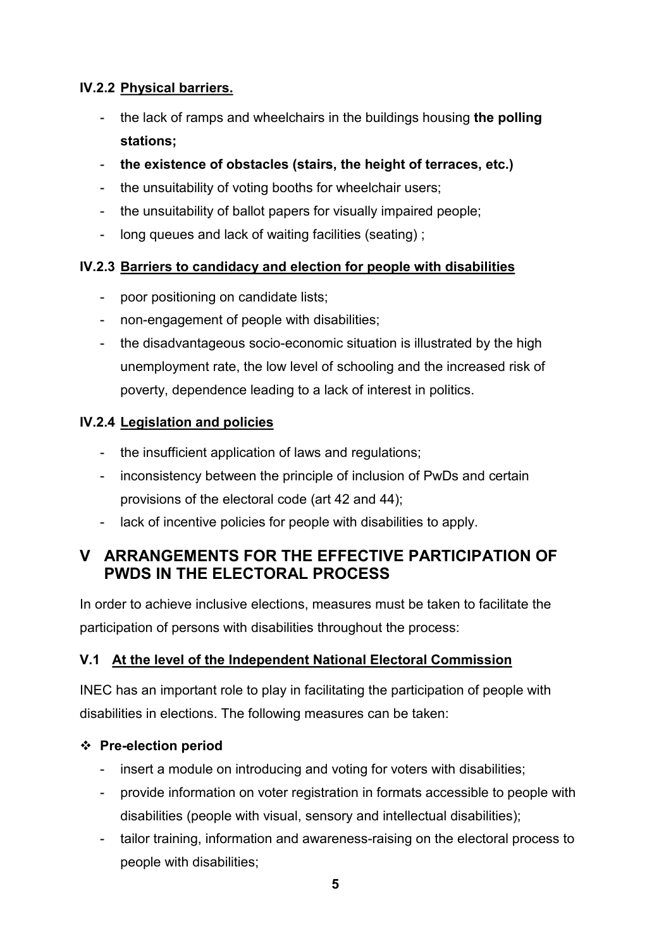## <span id="page-9-0"></span>**IV.2.2 Physical barriers.**

- the lack of ramps and wheelchairs in the buildings housing **the polling stations;**
- **the existence of obstacles (stairs, the height of terraces, etc.)**
- the unsuitability of voting booths for wheelchair users;
- the unsuitability of ballot papers for visually impaired people;
- long queues and lack of waiting facilities (seating) ;

### <span id="page-9-1"></span>**IV.2.3 Barriers to candidacy and election for people with disabilities**

- poor positioning on candidate lists;
- non-engagement of people with disabilities;
- the disadvantageous socio-economic situation is illustrated by the high unemployment rate, the low level of schooling and the increased risk of poverty, dependence leading to a lack of interest in politics.

### <span id="page-9-2"></span>**IV.2.4 Legislation and policies**

- the insufficient application of laws and regulations;
- inconsistency between the principle of inclusion of PwDs and certain provisions of the electoral code (art 42 and 44);
- lack of incentive policies for people with disabilities to apply.

## <span id="page-9-3"></span>**V ARRANGEMENTS FOR THE EFFECTIVE PARTICIPATION OF PWDS IN THE ELECTORAL PROCESS**

In order to achieve inclusive elections, measures must be taken to facilitate the participation of persons with disabilities throughout the process:

#### <span id="page-9-4"></span>**V.1 At the level of the Independent National Electoral Commission**

INEC has an important role to play in facilitating the participation of people with disabilities in elections. The following measures can be taken:

#### ❖ **Pre-election period**

- insert a module on introducing and voting for voters with disabilities;
- provide information on voter registration in formats accessible to people with disabilities (people with visual, sensory and intellectual disabilities);
- tailor training, information and awareness-raising on the electoral process to people with disabilities;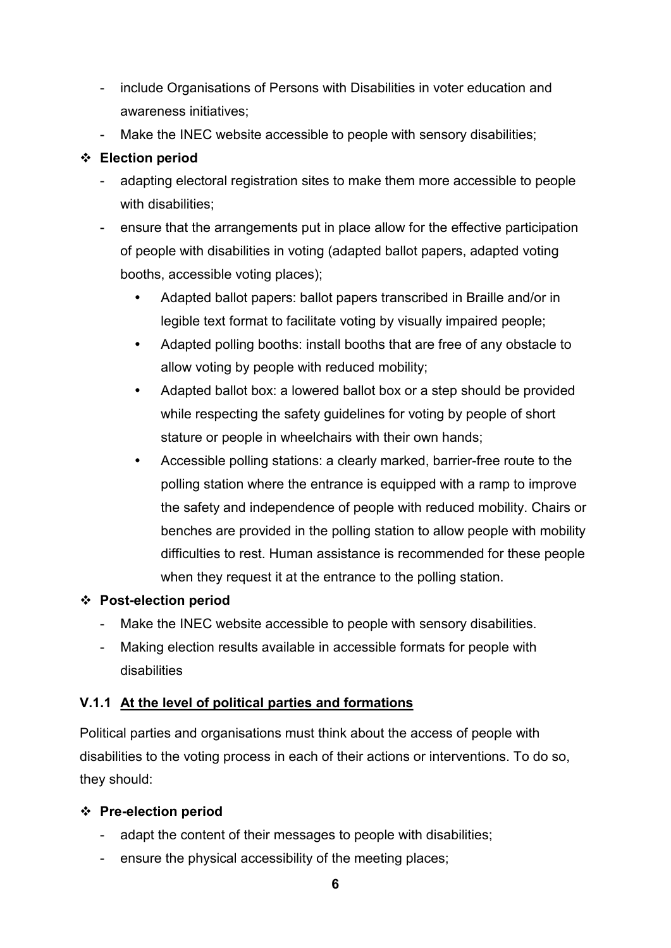- include Organisations of Persons with Disabilities in voter education and awareness initiatives;
- Make the INEC website accessible to people with sensory disabilities;

### ❖ **Election period**

- adapting electoral registration sites to make them more accessible to people with disabilities:
- ensure that the arrangements put in place allow for the effective participation of people with disabilities in voting (adapted ballot papers, adapted voting booths, accessible voting places);
	- Adapted ballot papers: ballot papers transcribed in Braille and/or in legible text format to facilitate voting by visually impaired people;
	- Adapted polling booths: install booths that are free of any obstacle to allow voting by people with reduced mobility;
	- Adapted ballot box: a lowered ballot box or a step should be provided while respecting the safety guidelines for voting by people of short stature or people in wheelchairs with their own hands;
	- Accessible polling stations: a clearly marked, barrier-free route to the polling station where the entrance is equipped with a ramp to improve the safety and independence of people with reduced mobility. Chairs or benches are provided in the polling station to allow people with mobility difficulties to rest. Human assistance is recommended for these people when they request it at the entrance to the polling station.

## ❖ **Post-election period**

- Make the INEC website accessible to people with sensory disabilities.
- Making election results available in accessible formats for people with disabilities

#### <span id="page-10-0"></span>**V.1.1 At the level of political parties and formations**

Political parties and organisations must think about the access of people with disabilities to the voting process in each of their actions or interventions. To do so, they should:

#### ❖ **Pre-election period**

- adapt the content of their messages to people with disabilities;
- ensure the physical accessibility of the meeting places;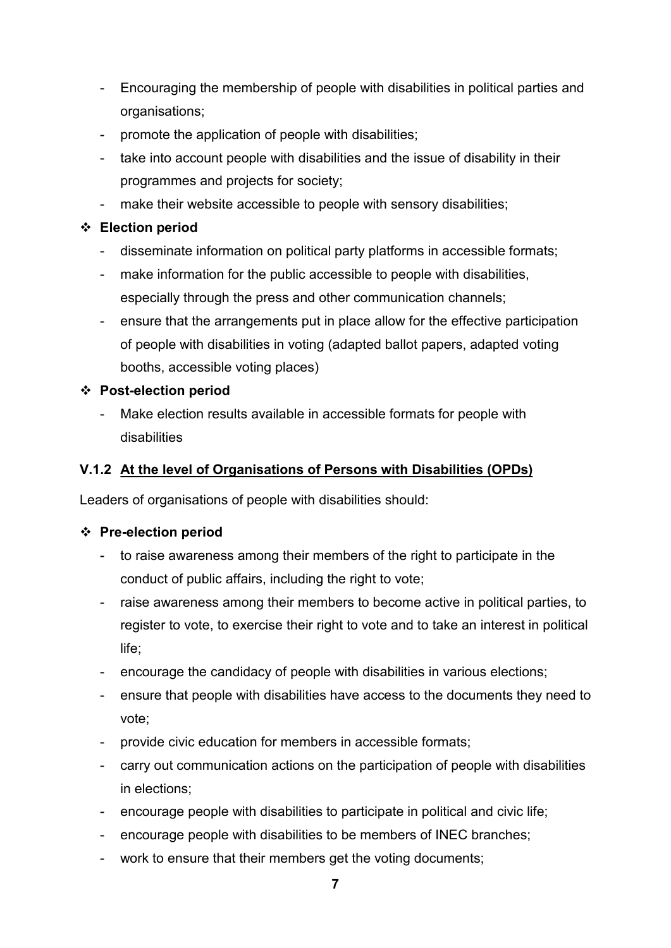- Encouraging the membership of people with disabilities in political parties and organisations;
- promote the application of people with disabilities;
- take into account people with disabilities and the issue of disability in their programmes and projects for society;
- make their website accessible to people with sensory disabilities;

#### ❖ **Election period**

- disseminate information on political party platforms in accessible formats;
- make information for the public accessible to people with disabilities, especially through the press and other communication channels;
- ensure that the arrangements put in place allow for the effective participation of people with disabilities in voting (adapted ballot papers, adapted voting booths, accessible voting places)

#### ❖ **Post-election period**

- Make election results available in accessible formats for people with disabilities

## <span id="page-11-0"></span>**V.1.2 At the level of Organisations of Persons with Disabilities (OPDs)**

Leaders of organisations of people with disabilities should:

#### ❖ **Pre-election period**

- to raise awareness among their members of the right to participate in the conduct of public affairs, including the right to vote;
- raise awareness among their members to become active in political parties, to register to vote, to exercise their right to vote and to take an interest in political life;
- encourage the candidacy of people with disabilities in various elections;
- ensure that people with disabilities have access to the documents they need to vote;
- provide civic education for members in accessible formats;
- carry out communication actions on the participation of people with disabilities in elections;
- encourage people with disabilities to participate in political and civic life;
- encourage people with disabilities to be members of INEC branches;
- work to ensure that their members get the voting documents;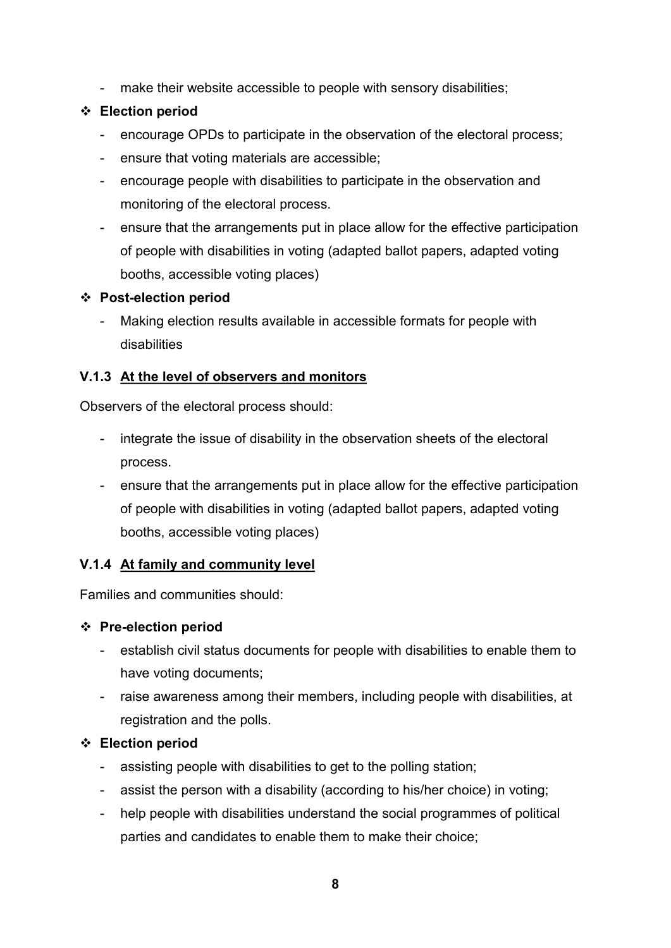- make their website accessible to people with sensory disabilities;

#### ❖ **Election period**

- encourage OPDs to participate in the observation of the electoral process;
- ensure that voting materials are accessible;
- encourage people with disabilities to participate in the observation and monitoring of the electoral process.
- ensure that the arrangements put in place allow for the effective participation of people with disabilities in voting (adapted ballot papers, adapted voting booths, accessible voting places)

#### ❖ **Post-election period**

- Making election results available in accessible formats for people with disabilities

#### <span id="page-12-0"></span>**V.1.3 At the level of observers and monitors**

Observers of the electoral process should:

- integrate the issue of disability in the observation sheets of the electoral process.
- ensure that the arrangements put in place allow for the effective participation of people with disabilities in voting (adapted ballot papers, adapted voting booths, accessible voting places)

#### <span id="page-12-1"></span>**V.1.4 At family and community level**

Families and communities should:

#### ❖ **Pre-election period**

- establish civil status documents for people with disabilities to enable them to have voting documents;
- raise awareness among their members, including people with disabilities, at registration and the polls.

#### ❖ **Election period**

- assisting people with disabilities to get to the polling station;
- assist the person with a disability (according to his/her choice) in voting;
- help people with disabilities understand the social programmes of political parties and candidates to enable them to make their choice;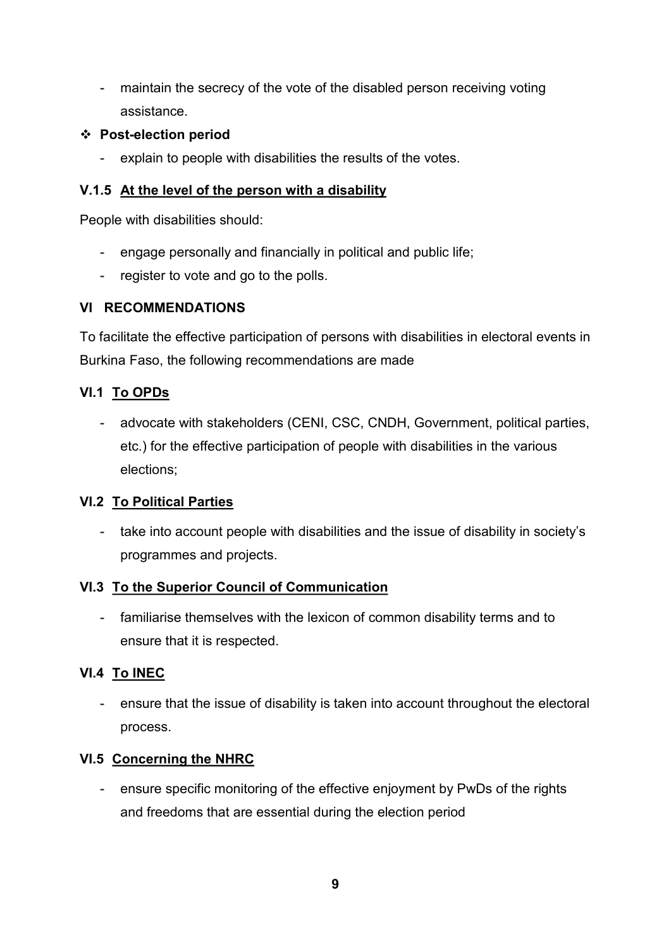- maintain the secrecy of the vote of the disabled person receiving voting assistance.

#### ❖ **Post-election period**

- explain to people with disabilities the results of the votes.

#### <span id="page-13-0"></span>**V.1.5 At the level of the person with a disability**

People with disabilities should:

- engage personally and financially in political and public life;
- register to vote and go to the polls.

#### <span id="page-13-1"></span>**VI RECOMMENDATIONS**

To facilitate the effective participation of persons with disabilities in electoral events in Burkina Faso, the following recommendations are made

#### <span id="page-13-2"></span>**VI.1 To OPDs**

- advocate with stakeholders (CENI, CSC, CNDH, Government, political parties, etc.) for the effective participation of people with disabilities in the various elections;

#### <span id="page-13-3"></span>**VI.2 To Political Parties**

- take into account people with disabilities and the issue of disability in society's programmes and projects.

#### <span id="page-13-4"></span>**VI.3 To the Superior Council of Communication**

- familiarise themselves with the lexicon of common disability terms and to ensure that it is respected.

#### <span id="page-13-5"></span>**VI.4 To INEC**

- ensure that the issue of disability is taken into account throughout the electoral process.

#### <span id="page-13-6"></span>**VI.5 Concerning the NHRC**

- ensure specific monitoring of the effective enjoyment by PwDs of the rights and freedoms that are essential during the election period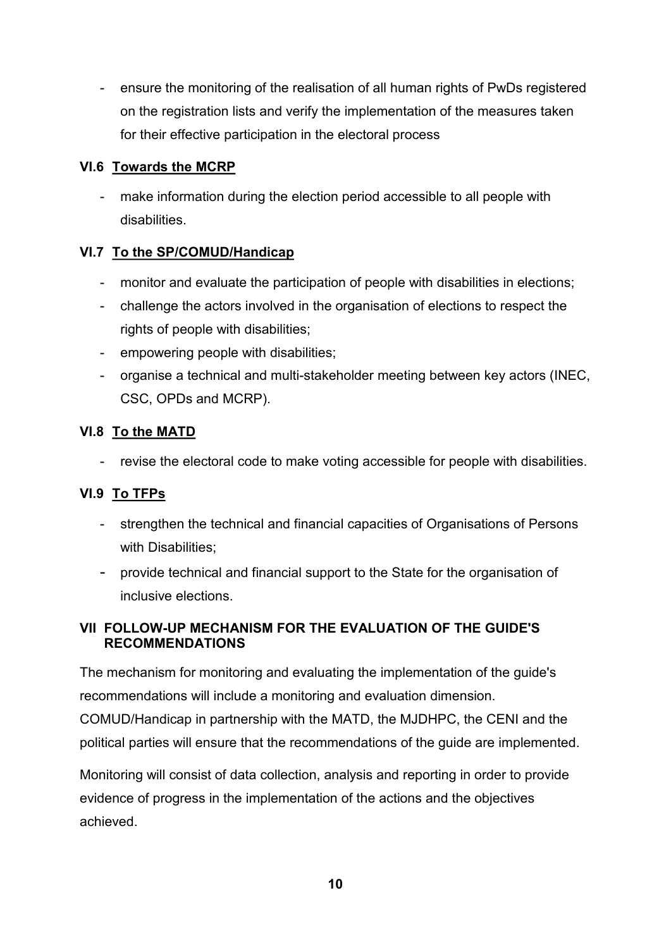- ensure the monitoring of the realisation of all human rights of PwDs registered on the registration lists and verify the implementation of the measures taken for their effective participation in the electoral process

### <span id="page-14-0"></span>**VI.6 Towards the MCRP**

- make information during the election period accessible to all people with disabilities.

## <span id="page-14-1"></span>**VI.7 To the SP/COMUD/Handicap**

- monitor and evaluate the participation of people with disabilities in elections;
- challenge the actors involved in the organisation of elections to respect the rights of people with disabilities;
- empowering people with disabilities;
- organise a technical and multi-stakeholder meeting between key actors (INEC, CSC, OPDs and MCRP).

### <span id="page-14-2"></span>**VI.8 To the MATD**

- revise the electoral code to make voting accessible for people with disabilities.

## <span id="page-14-3"></span>**VI.9 To TFPs**

- strengthen the technical and financial capacities of Organisations of Persons with Disabilities;
- provide technical and financial support to the State for the organisation of inclusive elections.

### <span id="page-14-4"></span>**VII FOLLOW-UP MECHANISM FOR THE EVALUATION OF THE GUIDE'S RECOMMENDATIONS**

The mechanism for monitoring and evaluating the implementation of the guide's recommendations will include a monitoring and evaluation dimension. COMUD/Handicap in partnership with the MATD, the MJDHPC, the CENI and the

political parties will ensure that the recommendations of the guide are implemented.

Monitoring will consist of data collection, analysis and reporting in order to provide evidence of progress in the implementation of the actions and the objectives achieved.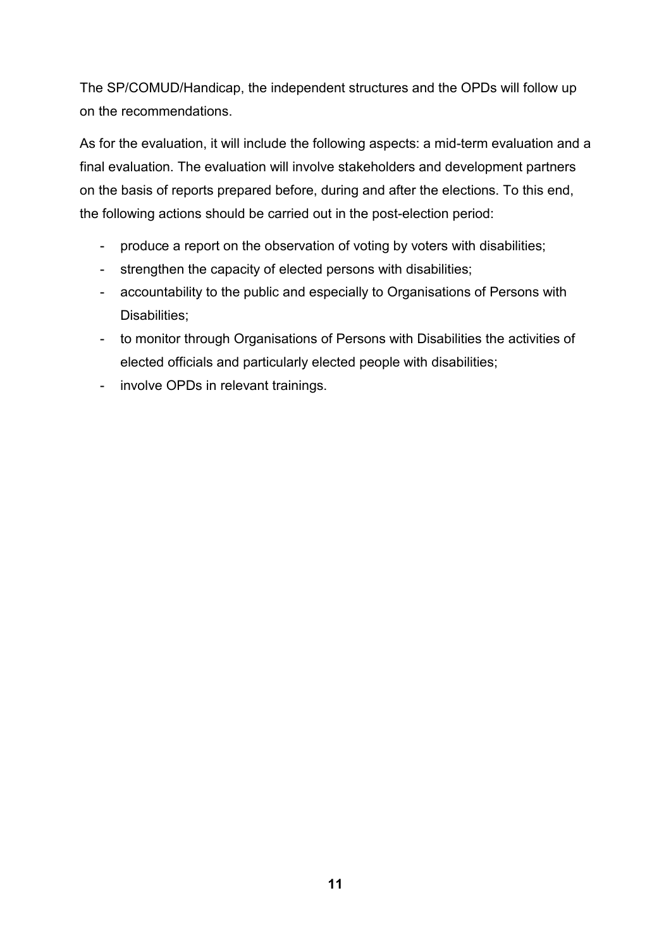The SP/COMUD/Handicap, the independent structures and the OPDs will follow up on the recommendations.

As for the evaluation, it will include the following aspects: a mid-term evaluation and a final evaluation. The evaluation will involve stakeholders and development partners on the basis of reports prepared before, during and after the elections. To this end, the following actions should be carried out in the post-election period:

- produce a report on the observation of voting by voters with disabilities;
- strengthen the capacity of elected persons with disabilities;
- accountability to the public and especially to Organisations of Persons with Disabilities:
- to monitor through Organisations of Persons with Disabilities the activities of elected officials and particularly elected people with disabilities;
- involve OPDs in relevant trainings.